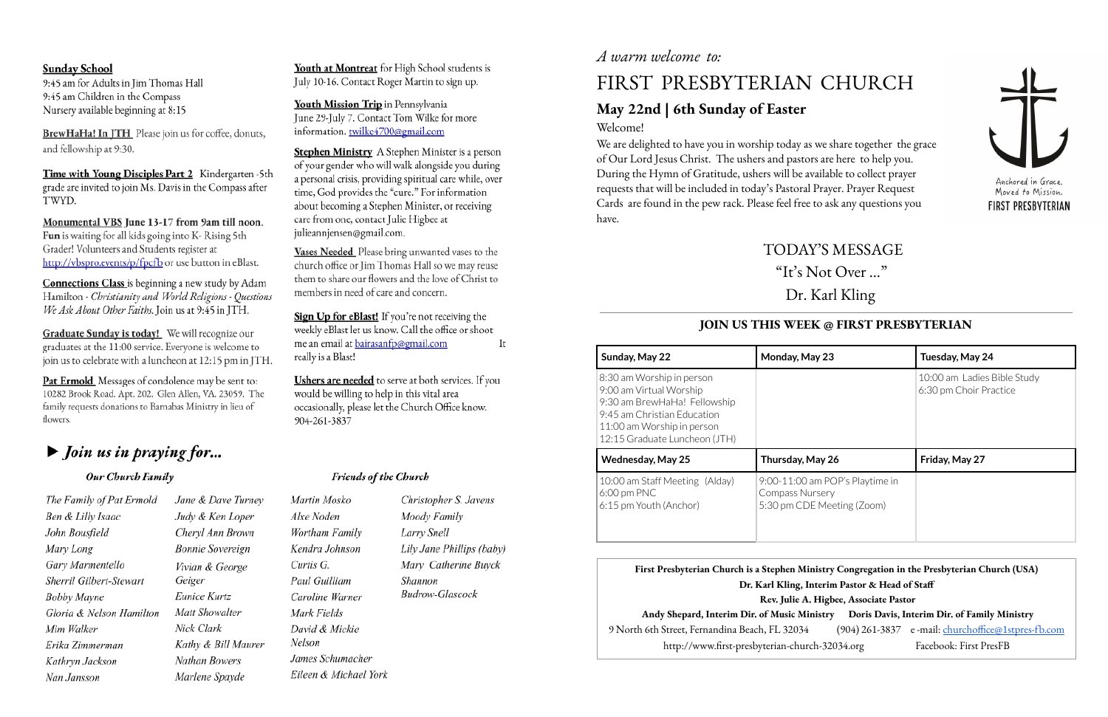### **Sunday School**

9:45 am for Adults in Jim Thomas Hall 9:45 am Children in the Compass Nursery available beginning at 8:15

BrewHaHa! In JTH\_Please join us for coffee, donuts, and fellowship at 9:30.

Time with Young Disciples Part 2 Kindergarten -5th grade are invited to join Ms. Davis in the Compass after TWYD.

Monumental VBS June 13-17 from 9am till noon. Fun is waiting for all kids going into K- Rising 5th Grader! Volunteers and Students register at http://vbspro.events/p/fpcfb or use button in eBlast.

**Connections Class** is beginning a new study by Adam Hamilton - Christianity and World Religions - Questions We Ask About Other Faiths. Join us at 9:45 in JTH.

Graduate Sunday is today! We will recognize our graduates at the 11:00 service. Everyone is welcome to join us to celebrate with a luncheon at 12:15 pm in JTH.

Pat Ermold Messages of condolence may be sent to: 10282 Brook Road. Apt. 202. Glen Allen, VA. 23059. The family requests donations to Barnabas Ministry in lieu of flowers.

# $\blacktriangleright$  Join us in praying for...

### Our Church Family

The Family of Pat Ermold Jane & Dave Turney Ben & Lilly Isaac Judy & Ken Loper John Bousfield Cheryl Ann Brown Mary Long **Bonnie Sovereign** Gary Marmentello Vivian & George Sherril Gilbert-Stewart Geiger Eunice Kurtz **Bobby Mayne** Gloria & Nelson Hamilton Matt Showalter Nick Clark Mim Walker Kathy & Bill Maurer Erika Zimmerman Nathan Bowers Kathryn Jackson Nan Jansson Marlene Spayde

## *A warm welcome to:*

Youth at Montreat for High School students is July 10-16. Contact Roger Martin to sign up.

Youth Mission Trip in Pennsylvania June 29-July 7. Contact Tom Wilke for more information. twilke4700@gmail.com

Stephen Ministry A Stephen Minister is a person of your gender who will walk alongside you during a personal crisis, providing spiritual care while, over time, God provides the "cure." For information about becoming a Stephen Minister, or receiving care from one, contact Julie Higbee at julieannjensen@gmail.com.

Vases Needed Please bring unwanted vases to the church office or Jim Thomas Hall so we may reuse them to share our flowers and the love of Christ to members in need of care and concern.

Sign Up for eBlast! If you're not receiving the weekly eBlast let us know. Call the office or shoot me an email at bairasanfp@gmail.com It really is a Blast!

Ushers are needed to serve at both services. If you would be willing to help in this vital area occasionally, please let the Church Office know. 904-261-3837

### **Friends of the Church**

Martin Mosko Alxe Noden Wortham Family Kendra Johnson Curtis G. Paul Guilliam Caroline Warner Mark Fields David & Mickie Nelson James Schumacher Eileen & Michael York

Christopher S. Javens Moody Family Larry Snell Lily Jane Phillips (baby) Mary Catherine Buyck Shannon **Budrow-Glascock** 

# FIRST PRESBYTERIAN CHURCH

## **May 22nd | 6th Sunday of Easter** Welcome!

We are delighted to have you in worship today as we share together the grace of Our Lord Jesus Christ. The ushers and pastors are here to help you. During the Hymn of Gratitude, ushers will be available to collect prayer requests that will be included in today's Pastoral Prayer. Prayer Request Cards are found in the pew rack. Please feel free to ask any questions you have.

TODAY'S MESSAGE "It' s Not Over …" Dr. Karl Kling

| iistry Congregation in the Presbyterian Church (USA)   |                                                    |  |  |  |  |
|--------------------------------------------------------|----------------------------------------------------|--|--|--|--|
| terim Pastor & Head of Staff                           |                                                    |  |  |  |  |
| Higbee, Associate Pastor                               |                                                    |  |  |  |  |
| Doris Davis, Interim Dir. of Family Ministry<br>ıistry |                                                    |  |  |  |  |
|                                                        | (904) 261-3837 e-mail: churchoffice@1stpres-fb.com |  |  |  |  |
| h-32034.org                                            | Facebook: First PresFB                             |  |  |  |  |
|                                                        |                                                    |  |  |  |  |

## **JOIN US THIS WEEK @ FIRST PRESBYTERIAN**

| Sunday, May 22                                                                                                                                                                     | Monday, May 23                                                                          | Tuesday, May 24                                       |  |
|------------------------------------------------------------------------------------------------------------------------------------------------------------------------------------|-----------------------------------------------------------------------------------------|-------------------------------------------------------|--|
| 8:30 am Worship in person<br>9:00 am Virtual Worship<br>9:30 am BrewHaHa! Fellowship<br>9:45 am Christian Education<br>11:00 am Worship in person<br>12:15 Graduate Luncheon (JTH) |                                                                                         | 10:00 am Ladies Bible Study<br>6:30 pm Choir Practice |  |
| <b>Wednesday, May 25</b>                                                                                                                                                           | Thursday, May 26                                                                        | Friday, May 27                                        |  |
| 10:00 am Staff Meeting (Alday)<br>$6:00$ pm PNC<br>6:15 pm Youth (Anchor)                                                                                                          | 9:00-11:00 am POP's Playtime in<br><b>Compass Nursery</b><br>5:30 pm CDE Meeting (Zoom) |                                                       |  |

**First Presbyterian Church is a Stephen Min Dr. Karl Kling**, **In Rev. Julie A. Andy Shepard, Interim Dir. of Music Ministry Doris Davis, Interim Dir. of Family Ministry** 9 North 6th Street, Fernandina Beach, FL 32034 http://www.first-presbyterian-church